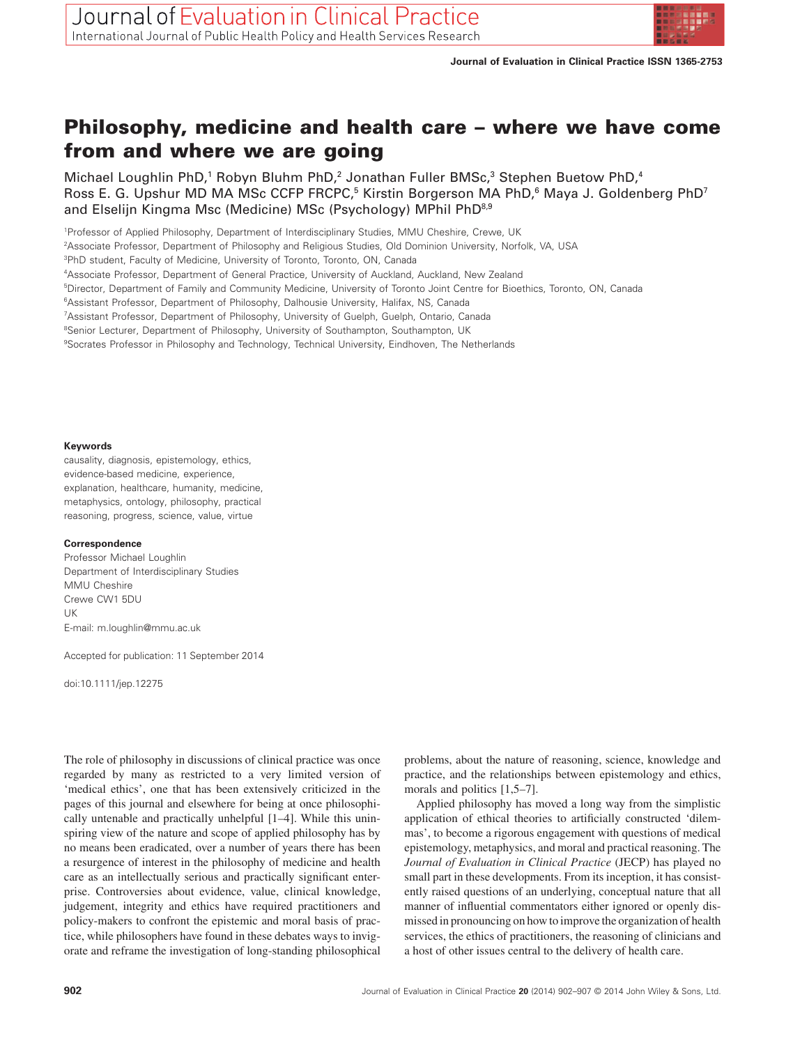

# **Philosophy, medicine and health care – where we have come from and where we are going**

Michael Loughlin PhD,<sup>1</sup> Robyn Bluhm PhD,<sup>2</sup> Jonathan Fuller BMSc,<sup>3</sup> Stephen Buetow PhD,<sup>4</sup> Ross E. G. Upshur MD MA MSc CCFP FRCPC,<sup>5</sup> Kirstin Borgerson MA PhD,<sup>6</sup> Maya J. Goldenberg PhD<sup>7</sup> and Elselijn Kingma Msc (Medicine) MSc (Psychology) MPhil PhD<sup>8,9</sup>

1 Professor of Applied Philosophy, Department of Interdisciplinary Studies, MMU Cheshire, Crewe, UK

2 Associate Professor, Department of Philosophy and Religious Studies, Old Dominion University, Norfolk, VA, USA

3 PhD student, Faculty of Medicine, University of Toronto, Toronto, ON, Canada

4 Associate Professor, Department of General Practice, University of Auckland, Auckland, New Zealand

5 Director, Department of Family and Community Medicine, University of Toronto Joint Centre for Bioethics, Toronto, ON, Canada

6 Assistant Professor, Department of Philosophy, Dalhousie University, Halifax, NS, Canada

7 Assistant Professor, Department of Philosophy, University of Guelph, Guelph, Ontario, Canada

<sup>8</sup>Senior Lecturer, Department of Philosophy, University of Southampton, Southampton, UK

9 Socrates Professor in Philosophy and Technology, Technical University, Eindhoven, The Netherlands

#### **Keywords**

causality, diagnosis, epistemology, ethics, evidence-based medicine, experience, explanation, healthcare, humanity, medicine, metaphysics, ontology, philosophy, practical reasoning, progress, science, value, virtue

#### **Correspondence**

Professor Michael Loughlin Department of Interdisciplinary Studies MMU Cheshire Crewe CW1 5DU UK E-mail: [m.loughlin@mmu.ac.uk](mailto:m.loughlin@mmu.ac.uk)

Accepted for publication: 11 September 2014

doi:10.1111/jep.12275

The role of philosophy in discussions of clinical practice was once regarded by many as restricted to a very limited version of 'medical ethics', one that has been extensively criticized in the pages of this journal and elsewhere for being at once philosophically untenable and practically unhelpful [1–4]. While this uninspiring view of the nature and scope of applied philosophy has by no means been eradicated, over a number of years there has been a resurgence of interest in the philosophy of medicine and health care as an intellectually serious and practically significant enterprise. Controversies about evidence, value, clinical knowledge, judgement, integrity and ethics have required practitioners and policy-makers to confront the epistemic and moral basis of practice, while philosophers have found in these debates ways to invigorate and reframe the investigation of long-standing philosophical

problems, about the nature of reasoning, science, knowledge and practice, and the relationships between epistemology and ethics, morals and politics [1,5–7].

Applied philosophy has moved a long way from the simplistic application of ethical theories to artificially constructed 'dilemmas', to become a rigorous engagement with questions of medical epistemology, metaphysics, and moral and practical reasoning. The *Journal of Evaluation in Clinical Practice* (JECP) has played no small part in these developments. From its inception, it has consistently raised questions of an underlying, conceptual nature that all manner of influential commentators either ignored or openly dismissed in pronouncing on how to improve the organization of health services, the ethics of practitioners, the reasoning of clinicians and a host of other issues central to the delivery of health care.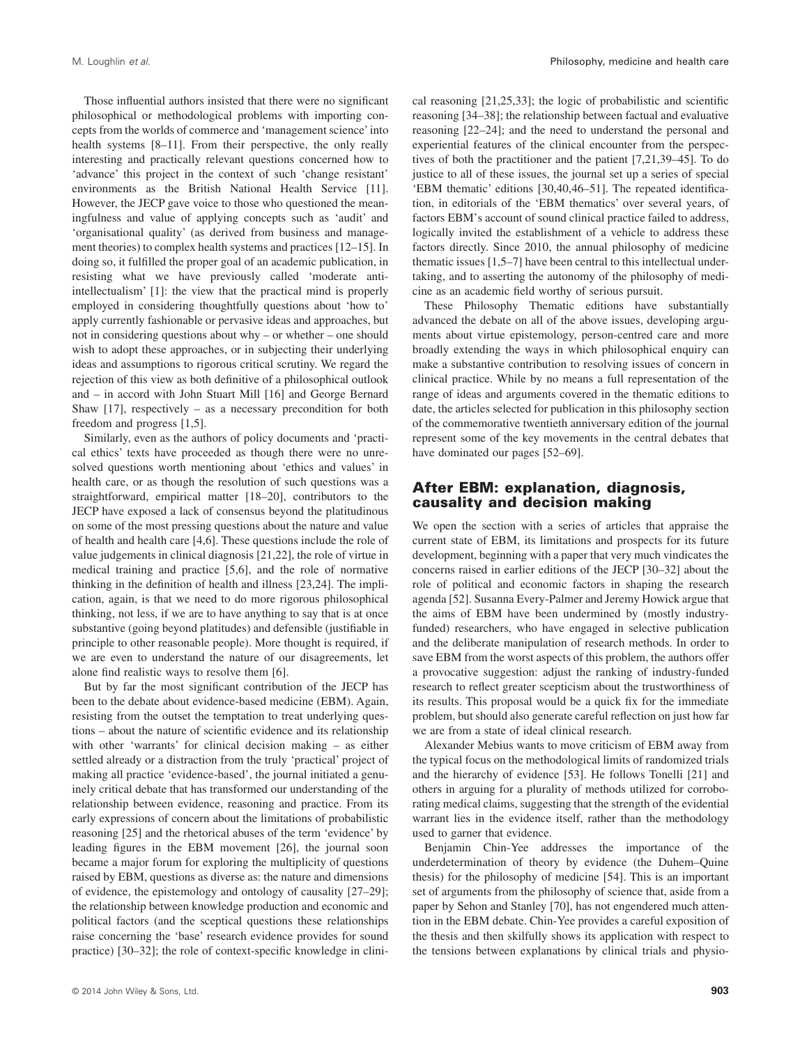Those influential authors insisted that there were no significant philosophical or methodological problems with importing concepts from the worlds of commerce and 'management science' into health systems [8–11]. From their perspective, the only really interesting and practically relevant questions concerned how to 'advance' this project in the context of such 'change resistant' environments as the British National Health Service [11]. However, the JECP gave voice to those who questioned the meaningfulness and value of applying concepts such as 'audit' and 'organisational quality' (as derived from business and management theories) to complex health systems and practices [12–15]. In doing so, it fulfilled the proper goal of an academic publication, in resisting what we have previously called 'moderate antiintellectualism' [1]: the view that the practical mind is properly employed in considering thoughtfully questions about 'how to' apply currently fashionable or pervasive ideas and approaches, but not in considering questions about why – or whether – one should wish to adopt these approaches, or in subjecting their underlying ideas and assumptions to rigorous critical scrutiny. We regard the rejection of this view as both definitive of a philosophical outlook and – in accord with John Stuart Mill [16] and George Bernard Shaw [17], respectively – as a necessary precondition for both freedom and progress [1,5].

Similarly, even as the authors of policy documents and 'practical ethics' texts have proceeded as though there were no unresolved questions worth mentioning about 'ethics and values' in health care, or as though the resolution of such questions was a straightforward, empirical matter [18–20], contributors to the JECP have exposed a lack of consensus beyond the platitudinous on some of the most pressing questions about the nature and value of health and health care [4,6]. These questions include the role of value judgements in clinical diagnosis [21,22], the role of virtue in medical training and practice [5,6], and the role of normative thinking in the definition of health and illness [23,24]. The implication, again, is that we need to do more rigorous philosophical thinking, not less, if we are to have anything to say that is at once substantive (going beyond platitudes) and defensible (justifiable in principle to other reasonable people). More thought is required, if we are even to understand the nature of our disagreements, let alone find realistic ways to resolve them [6].

But by far the most significant contribution of the JECP has been to the debate about evidence-based medicine (EBM). Again, resisting from the outset the temptation to treat underlying questions – about the nature of scientific evidence and its relationship with other 'warrants' for clinical decision making – as either settled already or a distraction from the truly 'practical' project of making all practice 'evidence-based', the journal initiated a genuinely critical debate that has transformed our understanding of the relationship between evidence, reasoning and practice. From its early expressions of concern about the limitations of probabilistic reasoning [25] and the rhetorical abuses of the term 'evidence' by leading figures in the EBM movement [26], the journal soon became a major forum for exploring the multiplicity of questions raised by EBM, questions as diverse as: the nature and dimensions of evidence, the epistemology and ontology of causality [27–29]; the relationship between knowledge production and economic and political factors (and the sceptical questions these relationships raise concerning the 'base' research evidence provides for sound practice) [30–32]; the role of context-specific knowledge in clinical reasoning [21,25,33]; the logic of probabilistic and scientific reasoning [34–38]; the relationship between factual and evaluative reasoning [22–24]; and the need to understand the personal and experiential features of the clinical encounter from the perspectives of both the practitioner and the patient [7,21,39–45]. To do justice to all of these issues, the journal set up a series of special 'EBM thematic' editions [30,40,46–51]. The repeated identification, in editorials of the 'EBM thematics' over several years, of factors EBM's account of sound clinical practice failed to address, logically invited the establishment of a vehicle to address these factors directly. Since 2010, the annual philosophy of medicine thematic issues [1,5–7] have been central to this intellectual undertaking, and to asserting the autonomy of the philosophy of medicine as an academic field worthy of serious pursuit.

These Philosophy Thematic editions have substantially advanced the debate on all of the above issues, developing arguments about virtue epistemology, person-centred care and more broadly extending the ways in which philosophical enquiry can make a substantive contribution to resolving issues of concern in clinical practice. While by no means a full representation of the range of ideas and arguments covered in the thematic editions to date, the articles selected for publication in this philosophy section of the commemorative twentieth anniversary edition of the journal represent some of the key movements in the central debates that have dominated our pages [52–69].

#### **After EBM: explanation, diagnosis, causality and decision making**

We open the section with a series of articles that appraise the current state of EBM, its limitations and prospects for its future development, beginning with a paper that very much vindicates the concerns raised in earlier editions of the JECP [30–32] about the role of political and economic factors in shaping the research agenda [52]. Susanna Every-Palmer and Jeremy Howick argue that the aims of EBM have been undermined by (mostly industryfunded) researchers, who have engaged in selective publication and the deliberate manipulation of research methods. In order to save EBM from the worst aspects of this problem, the authors offer a provocative suggestion: adjust the ranking of industry-funded research to reflect greater scepticism about the trustworthiness of its results. This proposal would be a quick fix for the immediate problem, but should also generate careful reflection on just how far we are from a state of ideal clinical research.

Alexander Mebius wants to move criticism of EBM away from the typical focus on the methodological limits of randomized trials and the hierarchy of evidence [53]. He follows Tonelli [21] and others in arguing for a plurality of methods utilized for corroborating medical claims, suggesting that the strength of the evidential warrant lies in the evidence itself, rather than the methodology used to garner that evidence.

Benjamin Chin-Yee addresses the importance of the underdetermination of theory by evidence (the Duhem–Quine thesis) for the philosophy of medicine [54]. This is an important set of arguments from the philosophy of science that, aside from a paper by Sehon and Stanley [70], has not engendered much attention in the EBM debate. Chin-Yee provides a careful exposition of the thesis and then skilfully shows its application with respect to the tensions between explanations by clinical trials and physio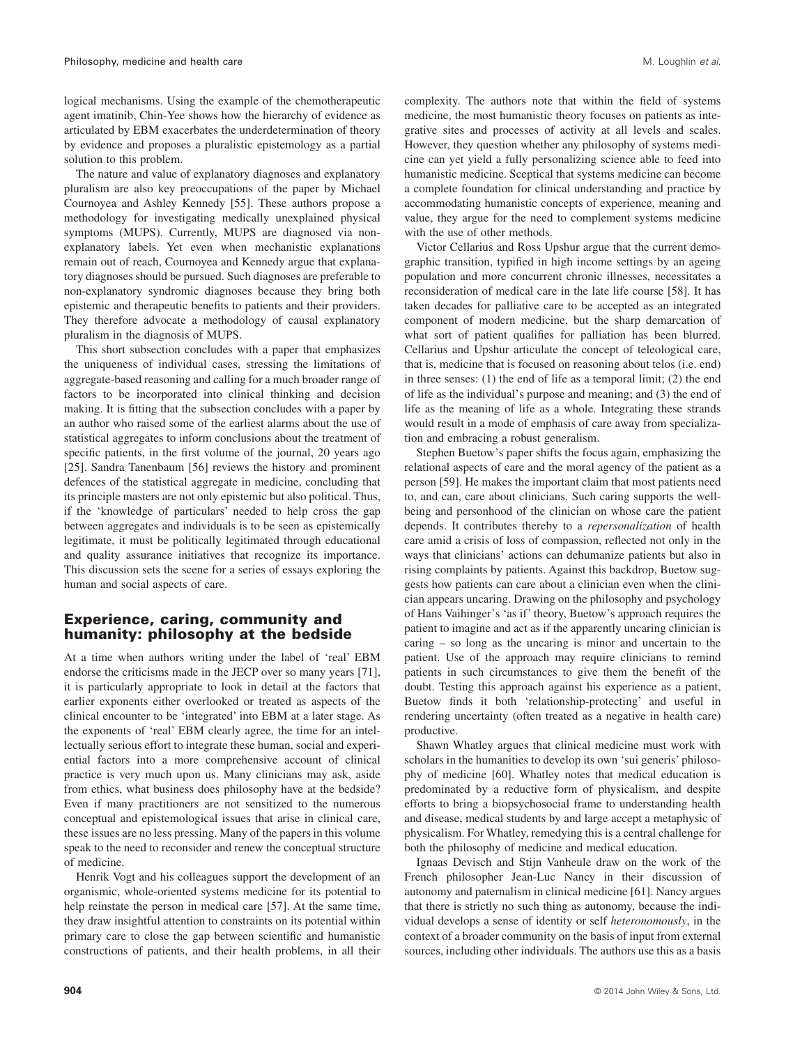logical mechanisms. Using the example of the chemotherapeutic agent imatinib, Chin-Yee shows how the hierarchy of evidence as articulated by EBM exacerbates the underdetermination of theory by evidence and proposes a pluralistic epistemology as a partial solution to this problem.

The nature and value of explanatory diagnoses and explanatory pluralism are also key preoccupations of the paper by Michael Cournoyea and Ashley Kennedy [55]. These authors propose a methodology for investigating medically unexplained physical symptoms (MUPS). Currently, MUPS are diagnosed via nonexplanatory labels. Yet even when mechanistic explanations remain out of reach, Cournoyea and Kennedy argue that explanatory diagnoses should be pursued. Such diagnoses are preferable to non-explanatory syndromic diagnoses because they bring both epistemic and therapeutic benefits to patients and their providers. They therefore advocate a methodology of causal explanatory pluralism in the diagnosis of MUPS.

This short subsection concludes with a paper that emphasizes the uniqueness of individual cases, stressing the limitations of aggregate-based reasoning and calling for a much broader range of factors to be incorporated into clinical thinking and decision making. It is fitting that the subsection concludes with a paper by an author who raised some of the earliest alarms about the use of statistical aggregates to inform conclusions about the treatment of specific patients, in the first volume of the journal, 20 years ago [25]. Sandra Tanenbaum [56] reviews the history and prominent defences of the statistical aggregate in medicine, concluding that its principle masters are not only epistemic but also political. Thus, if the 'knowledge of particulars' needed to help cross the gap between aggregates and individuals is to be seen as epistemically legitimate, it must be politically legitimated through educational and quality assurance initiatives that recognize its importance. This discussion sets the scene for a series of essays exploring the human and social aspects of care.

### **Experience, caring, community and humanity: philosophy at the bedside**

At a time when authors writing under the label of 'real' EBM endorse the criticisms made in the JECP over so many years [71], it is particularly appropriate to look in detail at the factors that earlier exponents either overlooked or treated as aspects of the clinical encounter to be 'integrated' into EBM at a later stage. As the exponents of 'real' EBM clearly agree, the time for an intellectually serious effort to integrate these human, social and experiential factors into a more comprehensive account of clinical practice is very much upon us. Many clinicians may ask, aside from ethics, what business does philosophy have at the bedside? Even if many practitioners are not sensitized to the numerous conceptual and epistemological issues that arise in clinical care, these issues are no less pressing. Many of the papers in this volume speak to the need to reconsider and renew the conceptual structure of medicine.

Henrik Vogt and his colleagues support the development of an organismic, whole-oriented systems medicine for its potential to help reinstate the person in medical care [57]. At the same time, they draw insightful attention to constraints on its potential within primary care to close the gap between scientific and humanistic constructions of patients, and their health problems, in all their

complexity. The authors note that within the field of systems medicine, the most humanistic theory focuses on patients as integrative sites and processes of activity at all levels and scales. However, they question whether any philosophy of systems medicine can yet yield a fully personalizing science able to feed into humanistic medicine. Sceptical that systems medicine can become a complete foundation for clinical understanding and practice by accommodating humanistic concepts of experience, meaning and value, they argue for the need to complement systems medicine with the use of other methods.

Victor Cellarius and Ross Upshur argue that the current demographic transition, typified in high income settings by an ageing population and more concurrent chronic illnesses, necessitates a reconsideration of medical care in the late life course [58]. It has taken decades for palliative care to be accepted as an integrated component of modern medicine, but the sharp demarcation of what sort of patient qualifies for palliation has been blurred. Cellarius and Upshur articulate the concept of teleological care, that is, medicine that is focused on reasoning about telos (i.e. end) in three senses: (1) the end of life as a temporal limit; (2) the end of life as the individual's purpose and meaning; and (3) the end of life as the meaning of life as a whole. Integrating these strands would result in a mode of emphasis of care away from specialization and embracing a robust generalism.

Stephen Buetow's paper shifts the focus again, emphasizing the relational aspects of care and the moral agency of the patient as a person [59]. He makes the important claim that most patients need to, and can, care about clinicians. Such caring supports the wellbeing and personhood of the clinician on whose care the patient depends. It contributes thereby to a *repersonalization* of health care amid a crisis of loss of compassion, reflected not only in the ways that clinicians' actions can dehumanize patients but also in rising complaints by patients. Against this backdrop, Buetow suggests how patients can care about a clinician even when the clinician appears uncaring. Drawing on the philosophy and psychology of Hans Vaihinger's 'as if' theory, Buetow's approach requires the patient to imagine and act as if the apparently uncaring clinician is caring – so long as the uncaring is minor and uncertain to the patient. Use of the approach may require clinicians to remind patients in such circumstances to give them the benefit of the doubt. Testing this approach against his experience as a patient, Buetow finds it both 'relationship-protecting' and useful in rendering uncertainty (often treated as a negative in health care) productive.

Shawn Whatley argues that clinical medicine must work with scholars in the humanities to develop its own 'sui generis' philosophy of medicine [60]. Whatley notes that medical education is predominated by a reductive form of physicalism, and despite efforts to bring a biopsychosocial frame to understanding health and disease, medical students by and large accept a metaphysic of physicalism. For Whatley, remedying this is a central challenge for both the philosophy of medicine and medical education.

Ignaas Devisch and Stijn Vanheule draw on the work of the French philosopher Jean-Luc Nancy in their discussion of autonomy and paternalism in clinical medicine [61]. Nancy argues that there is strictly no such thing as autonomy, because the individual develops a sense of identity or self *heteronomously*, in the context of a broader community on the basis of input from external sources, including other individuals. The authors use this as a basis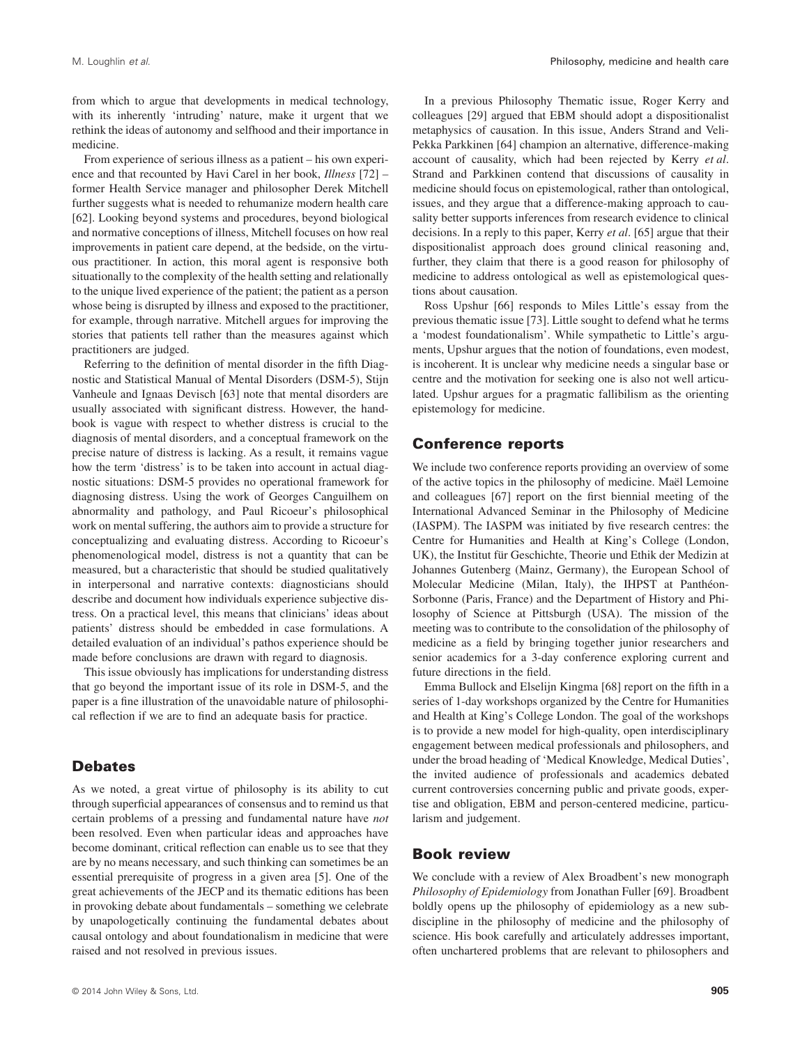from which to argue that developments in medical technology, with its inherently 'intruding' nature, make it urgent that we rethink the ideas of autonomy and selfhood and their importance in medicine.

From experience of serious illness as a patient – his own experience and that recounted by Havi Carel in her book, *Illness* [72] – former Health Service manager and philosopher Derek Mitchell further suggests what is needed to rehumanize modern health care [62]. Looking beyond systems and procedures, beyond biological and normative conceptions of illness, Mitchell focuses on how real improvements in patient care depend, at the bedside, on the virtuous practitioner. In action, this moral agent is responsive both situationally to the complexity of the health setting and relationally to the unique lived experience of the patient; the patient as a person whose being is disrupted by illness and exposed to the practitioner, for example, through narrative. Mitchell argues for improving the stories that patients tell rather than the measures against which practitioners are judged.

Referring to the definition of mental disorder in the fifth Diagnostic and Statistical Manual of Mental Disorders (DSM-5), Stijn Vanheule and Ignaas Devisch [63] note that mental disorders are usually associated with significant distress. However, the handbook is vague with respect to whether distress is crucial to the diagnosis of mental disorders, and a conceptual framework on the precise nature of distress is lacking. As a result, it remains vague how the term 'distress' is to be taken into account in actual diagnostic situations: DSM-5 provides no operational framework for diagnosing distress. Using the work of Georges Canguilhem on abnormality and pathology, and Paul Ricoeur's philosophical work on mental suffering, the authors aim to provide a structure for conceptualizing and evaluating distress. According to Ricoeur's phenomenological model, distress is not a quantity that can be measured, but a characteristic that should be studied qualitatively in interpersonal and narrative contexts: diagnosticians should describe and document how individuals experience subjective distress. On a practical level, this means that clinicians' ideas about patients' distress should be embedded in case formulations. A detailed evaluation of an individual's pathos experience should be made before conclusions are drawn with regard to diagnosis.

This issue obviously has implications for understanding distress that go beyond the important issue of its role in DSM-5, and the paper is a fine illustration of the unavoidable nature of philosophical reflection if we are to find an adequate basis for practice.

### **Debates**

As we noted, a great virtue of philosophy is its ability to cut through superficial appearances of consensus and to remind us that certain problems of a pressing and fundamental nature have *not* been resolved. Even when particular ideas and approaches have become dominant, critical reflection can enable us to see that they are by no means necessary, and such thinking can sometimes be an essential prerequisite of progress in a given area [5]. One of the great achievements of the JECP and its thematic editions has been in provoking debate about fundamentals – something we celebrate by unapologetically continuing the fundamental debates about causal ontology and about foundationalism in medicine that were raised and not resolved in previous issues.

In a previous Philosophy Thematic issue, Roger Kerry and colleagues [29] argued that EBM should adopt a dispositionalist metaphysics of causation. In this issue, Anders Strand and Veli-Pekka Parkkinen [64] champion an alternative, difference-making account of causality, which had been rejected by Kerry *et al*. Strand and Parkkinen contend that discussions of causality in medicine should focus on epistemological, rather than ontological, issues, and they argue that a difference-making approach to causality better supports inferences from research evidence to clinical decisions. In a reply to this paper, Kerry *et al*. [65] argue that their dispositionalist approach does ground clinical reasoning and, further, they claim that there is a good reason for philosophy of medicine to address ontological as well as epistemological questions about causation.

Ross Upshur [66] responds to Miles Little's essay from the previous thematic issue [73]. Little sought to defend what he terms a 'modest foundationalism'. While sympathetic to Little's arguments, Upshur argues that the notion of foundations, even modest, is incoherent. It is unclear why medicine needs a singular base or centre and the motivation for seeking one is also not well articulated. Upshur argues for a pragmatic fallibilism as the orienting epistemology for medicine.

#### **Conference reports**

We include two conference reports providing an overview of some of the active topics in the philosophy of medicine. Maël Lemoine and colleagues [67] report on the first biennial meeting of the International Advanced Seminar in the Philosophy of Medicine (IASPM). The IASPM was initiated by five research centres: the Centre for Humanities and Health at King's College (London, UK), the Institut für Geschichte, Theorie und Ethik der Medizin at Johannes Gutenberg (Mainz, Germany), the European School of Molecular Medicine (Milan, Italy), the IHPST at Panthéon-Sorbonne (Paris, France) and the Department of History and Philosophy of Science at Pittsburgh (USA). The mission of the meeting was to contribute to the consolidation of the philosophy of medicine as a field by bringing together junior researchers and senior academics for a 3-day conference exploring current and future directions in the field.

Emma Bullock and Elselijn Kingma [68] report on the fifth in a series of 1-day workshops organized by the Centre for Humanities and Health at King's College London. The goal of the workshops is to provide a new model for high-quality, open interdisciplinary engagement between medical professionals and philosophers, and under the broad heading of 'Medical Knowledge, Medical Duties', the invited audience of professionals and academics debated current controversies concerning public and private goods, expertise and obligation, EBM and person-centered medicine, particularism and judgement.

#### **Book review**

We conclude with a review of Alex Broadbent's new monograph *Philosophy of Epidemiology* from Jonathan Fuller [69]. Broadbent boldly opens up the philosophy of epidemiology as a new subdiscipline in the philosophy of medicine and the philosophy of science. His book carefully and articulately addresses important, often unchartered problems that are relevant to philosophers and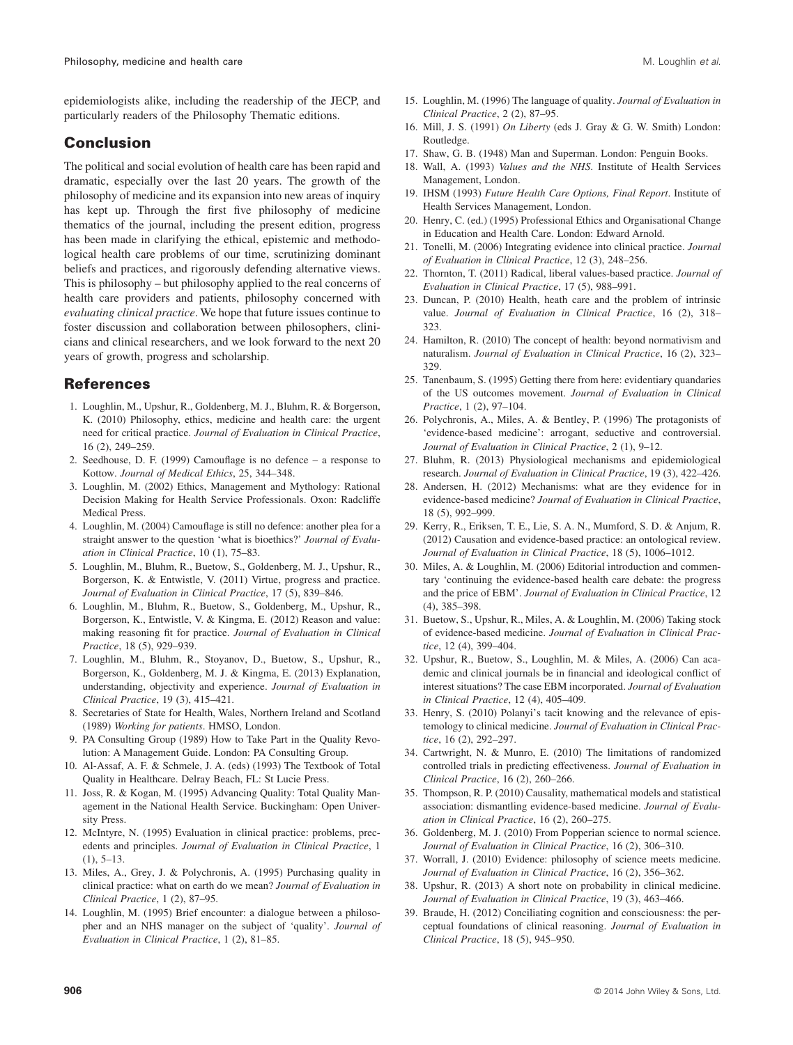epidemiologists alike, including the readership of the JECP, and particularly readers of the Philosophy Thematic editions.

## **Conclusion**

The political and social evolution of health care has been rapid and dramatic, especially over the last 20 years. The growth of the philosophy of medicine and its expansion into new areas of inquiry has kept up. Through the first five philosophy of medicine thematics of the journal, including the present edition, progress has been made in clarifying the ethical, epistemic and methodological health care problems of our time, scrutinizing dominant beliefs and practices, and rigorously defending alternative views. This is philosophy – but philosophy applied to the real concerns of health care providers and patients, philosophy concerned with *evaluating clinical practice*. We hope that future issues continue to foster discussion and collaboration between philosophers, clinicians and clinical researchers, and we look forward to the next 20 years of growth, progress and scholarship.

## **References**

- 1. Loughlin, M., Upshur, R., Goldenberg, M. J., Bluhm, R. & Borgerson, K. (2010) Philosophy, ethics, medicine and health care: the urgent need for critical practice. *Journal of Evaluation in Clinical Practice*, 16 (2), 249–259.
- 2. Seedhouse, D. F. (1999) Camouflage is no defence a response to Kottow. *Journal of Medical Ethics*, 25, 344–348.
- 3. Loughlin, M. (2002) Ethics, Management and Mythology: Rational Decision Making for Health Service Professionals. Oxon: Radcliffe Medical Press.
- 4. Loughlin, M. (2004) Camouflage is still no defence: another plea for a straight answer to the question 'what is bioethics?' *Journal of Evaluation in Clinical Practice*, 10 (1), 75–83.
- 5. Loughlin, M., Bluhm, R., Buetow, S., Goldenberg, M. J., Upshur, R., Borgerson, K. & Entwistle, V. (2011) Virtue, progress and practice. *Journal of Evaluation in Clinical Practice*, 17 (5), 839–846.
- 6. Loughlin, M., Bluhm, R., Buetow, S., Goldenberg, M., Upshur, R., Borgerson, K., Entwistle, V. & Kingma, E. (2012) Reason and value: making reasoning fit for practice. *Journal of Evaluation in Clinical Practice*, 18 (5), 929–939.
- 7. Loughlin, M., Bluhm, R., Stoyanov, D., Buetow, S., Upshur, R., Borgerson, K., Goldenberg, M. J. & Kingma, E. (2013) Explanation, understanding, objectivity and experience. *Journal of Evaluation in Clinical Practice*, 19 (3), 415–421.
- 8. Secretaries of State for Health, Wales, Northern Ireland and Scotland (1989) *Working for patients*. HMSO, London.
- 9. PA Consulting Group (1989) How to Take Part in the Quality Revolution: A Management Guide. London: PA Consulting Group.
- 10. Al-Assaf, A. F. & Schmele, J. A. (eds) (1993) The Textbook of Total Quality in Healthcare. Delray Beach, FL: St Lucie Press.
- 11. Joss, R. & Kogan, M. (1995) Advancing Quality: Total Quality Management in the National Health Service. Buckingham: Open University Press.
- 12. McIntyre, N. (1995) Evaluation in clinical practice: problems, precedents and principles. *Journal of Evaluation in Clinical Practice*, 1  $(1), 5-13.$
- 13. Miles, A., Grey, J. & Polychronis, A. (1995) Purchasing quality in clinical practice: what on earth do we mean? *Journal of Evaluation in Clinical Practice*, 1 (2), 87–95.
- 14. Loughlin, M. (1995) Brief encounter: a dialogue between a philosopher and an NHS manager on the subject of 'quality'. *Journal of Evaluation in Clinical Practice*, 1 (2), 81–85.
- 15. Loughlin, M. (1996) The language of quality. *Journal of Evaluation in Clinical Practice*, 2 (2), 87–95.
- 16. Mill, J. S. (1991) *On Liberty* (eds J. Gray & G. W. Smith) London: Routledge.
- 17. Shaw, G. B. (1948) Man and Superman. London: Penguin Books.
- 18. Wall, A. (1993) *Values and the NHS*. Institute of Health Services Management, London.
- 19. IHSM (1993) *Future Health Care Options, Final Report*. Institute of Health Services Management, London.
- 20. Henry, C. (ed.) (1995) Professional Ethics and Organisational Change in Education and Health Care. London: Edward Arnold.
- 21. Tonelli, M. (2006) Integrating evidence into clinical practice. *Journal of Evaluation in Clinical Practice*, 12 (3), 248–256.
- 22. Thornton, T. (2011) Radical, liberal values-based practice. *Journal of Evaluation in Clinical Practice*, 17 (5), 988–991.
- 23. Duncan, P. (2010) Health, heath care and the problem of intrinsic value. *Journal of Evaluation in Clinical Practice*, 16 (2), 318– 323.
- 24. Hamilton, R. (2010) The concept of health: beyond normativism and naturalism. *Journal of Evaluation in Clinical Practice*, 16 (2), 323– 329.
- 25. Tanenbaum, S. (1995) Getting there from here: evidentiary quandaries of the US outcomes movement. *Journal of Evaluation in Clinical Practice*, 1 (2), 97–104.
- 26. Polychronis, A., Miles, A. & Bentley, P. (1996) The protagonists of 'evidence-based medicine': arrogant, seductive and controversial. *Journal of Evaluation in Clinical Practice*, 2 (1), 9–12.
- 27. Bluhm, R. (2013) Physiological mechanisms and epidemiological research. *Journal of Evaluation in Clinical Practice*, 19 (3), 422–426.
- 28. Andersen, H. (2012) Mechanisms: what are they evidence for in evidence-based medicine? *Journal of Evaluation in Clinical Practice*, 18 (5), 992–999.
- 29. Kerry, R., Eriksen, T. E., Lie, S. A. N., Mumford, S. D. & Anjum, R. (2012) Causation and evidence-based practice: an ontological review. *Journal of Evaluation in Clinical Practice*, 18 (5), 1006–1012.
- 30. Miles, A. & Loughlin, M. (2006) Editorial introduction and commentary 'continuing the evidence-based health care debate: the progress and the price of EBM'. *Journal of Evaluation in Clinical Practice*, 12 (4), 385–398.
- 31. Buetow, S., Upshur, R., Miles, A. & Loughlin, M. (2006) Taking stock of evidence-based medicine. *Journal of Evaluation in Clinical Practice*, 12 (4), 399–404.
- 32. Upshur, R., Buetow, S., Loughlin, M. & Miles, A. (2006) Can academic and clinical journals be in financial and ideological conflict of interest situations? The case EBM incorporated. *Journal of Evaluation in Clinical Practice*, 12 (4), 405–409.
- 33. Henry, S. (2010) Polanyi's tacit knowing and the relevance of epistemology to clinical medicine. *Journal of Evaluation in Clinical Practice*, 16 (2), 292–297.
- 34. Cartwright, N. & Munro, E. (2010) The limitations of randomized controlled trials in predicting effectiveness. *Journal of Evaluation in Clinical Practice*, 16 (2), 260–266.
- 35. Thompson, R. P. (2010) Causality, mathematical models and statistical association: dismantling evidence-based medicine. *Journal of Evaluation in Clinical Practice*, 16 (2), 260–275.
- 36. Goldenberg, M. J. (2010) From Popperian science to normal science. *Journal of Evaluation in Clinical Practice*, 16 (2), 306–310.
- 37. Worrall, J. (2010) Evidence: philosophy of science meets medicine. *Journal of Evaluation in Clinical Practice*, 16 (2), 356–362.
- 38. Upshur, R. (2013) A short note on probability in clinical medicine. *Journal of Evaluation in Clinical Practice*, 19 (3), 463–466.
- 39. Braude, H. (2012) Conciliating cognition and consciousness: the perceptual foundations of clinical reasoning. *Journal of Evaluation in Clinical Practice*, 18 (5), 945–950.